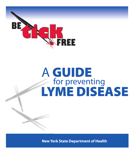

# A GUIDE<br>for preventing LYME DISEASE

**New York State Department of Health**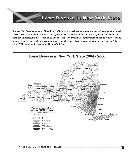## **Lyme Disease in New York State Lyme Disease in New York State**

The New York State Department of Health (NYSDOH) and local health departments continue to investigate the spread of Lyme disease throughout New York State. Lyme disease is a bacterial infection caused by the bite of an infected deer tick. Untreated, the disease can cause a number of health problems. Patients treated with antibiotics in the early stage of the infection usually recover rapidly and completely. Since Lyme disease first became reportable in 1986, over 77,000 cases have been confirmed in New York State.

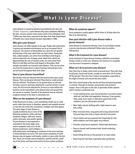## **What is Lyme Disease? What is Lyme Disease?**

Lyme disease is caused by bacteria transmitted by the deer tick *(Ixodes scapularis)*. Lyme disease may cause symptoms affecting the skin, nervous system, heart and/or joints of an individual. Over 77,000 cases have been reported to the New York State Department of Health since Lyme disease became reportable in 1986.

#### **Who gets Lyme disease?**

Lyme disease can affect people of any age. People who spend time in grassy and wooded environments are at an increased risk of exposure. The chances of being bitten by a deer tick are greater during times of the year when ticks are most active. Young deer ticks, called nymphs, are active from mid-May to mid-August and are about the size of poppy seeds. Adult ticks, which are approximately the size of sesame seeds, are most active from March to mid-May and from mid-August to November. Both nymphs and adults can transmit Lyme disease. Ticks can be active any time the temperature is above freezing. Infected deer ticks can be found throughout New York State.

#### **How is Lyme disease transmitted?**

Not all deer ticks are infected with the bacteria that cause Lyme disease. Ticks can become infected if they feed on small animals that are infected. The disease can be spread when an infected tick bites a person and stays attached for a period of time. In most cases, the tick must be attached for 36 hours or more before the bacteria can be transmitted. Lyme disease does not spread from one person to another. Transfer of the bacteria from an infected pregnant woman to the fetus is extremely rare.

#### **What are the symptoms of Lyme disease?**

In 60-80 percent of cases, a rash resembling a bull's eye or solid patch, about two inches in diameter, appears and expands around or near the site of the bite. Sometimes, multiple rash sites appear.

The early stage of Lyme disease is usually marked by one or more of the following symptoms: chills and fever, headache, fatigue, stiff neck, muscle and/or joint pain, and swollen glands. If Lyme disease is unrecognized or untreated in the early stage, more severe symptoms may occur. As the disease progresses, severe fatigue, a



stiff aching neck, and tingling or numbness in the arms and legs, or facial paralysis can occur. The most severe symptoms of Lyme disease may not appear until weeks, months or years after the tick bite. These can include severe headaches, painful arthritis, swelling of the joints, and heart and central nervous system problems.

#### **When do symptoms appear?**

Early symptoms usually appear within three to 30 days after the bite of an infected tick.

#### **Does past infection with Lyme disease make a person immune?**

Lyme disease is a bacterial infection. Even if successfully treated, a person may become reinfected if bitten later by another infected tick.

#### **What is the treatment for Lyme disease?**

Early treatment of Lyme disease involves antibiotics and almost always results in a full cure. However, the chances of a complete cure decrease if treatment is delayed.

#### **What can I do to prevent Lyme disease?**

Deer ticks live in shady, moist areas at ground level. They will cling to tall grass, brush and shrubs, usually no more than 18-24 inches off the ground. They also live in lawns and gardens, especially at the edges of woods and around old stone walls.

Deer ticks cannot jump or fly, and do not drop onto passing people or animals. They get on humans and animals only by direct contact. Once a tick gets on the skin, it generally climbs upward until it reaches a protected area.

- In tick-infested areas, your best protection is to avoid contact with soil, leaf litter and vegetation. However, if you garden, hike, camp, hunt, work, or otherwise spend time in the outdoors, you can still protect yourself:
- Wear light-colored clothing with a tight weave to spot ticks easily.
- Wear enclosed shoes, long pants and a long-sleeved shirt. Tuck pant legs into socks or boots and shirt into pants.
- Check clothes and any exposed skin frequently for ticks while outdoors and check again once indoors.
- Consider using insect repellent. Follow label directions.
- Stay on cleared, well-traveled trails. Avoid contacting vegetation.
- Avoid sitting directly on the ground or on stone walls.
- Keep long hair tied back, especially when gardening.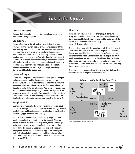# **Tick Life Cycle Tick Life Cycle**

#### **Deer Tick Life Cycle**

The deer tick passes through four life stages (egg, larva, nymph, adult), over a two year period

#### **Egg to Larvae**

Eggs are fertilized in the fall and deposited in leaf litter the following spring. They emerge as larvae in late summer of that year, seeking their first blood meal. The tiny larva crawls around the forest floor and onto low-lying vegetation looking for an appropriate host. Their first host is generally a mouse or other medium-sized mammal or bird. Once attached, the larvae embed their mouth parts and feed for several days. If the host is infected with a disease such as Lyme, the tick may be infected during this feeding. The larvae then drop off their host into the leaf litter where they molt into the next stage, the nymph, remaining dormant until the following spring.

#### **Larvae to Nymph**

During the spring and early summer of the next year the nymphs end their dormancy and begin to seek a host. Nymphs are commonly found on the forest floor in leaf litter and on low lying vegetation. Their host primarily consists of mice and other rodents, deer, birds and unfortunately humans. Most cases of Lyme disease are reported from May through August, which corresponds to the peak activity period for nymphs. This suggests that the majority of Lyme disease cases are transmitted by nymphal deer ticks. After feeding for several days the nymph ticks drop off to the forest floor.

#### **Nymph to Adult**

Over the next few months the nymph molts into the larger adult tick, which emerges in fall, with a peak in October through November. Both male and female adults find and feed on a host, then the females lay eggs sometime after feeding.

Adult ticks wait for host animals from the tips of grasses and shrubs approximately one meter above the ground. When an animal or person brushes by the vegetation, they quickly let go and climb onto the host. Adult ticks feed on their host for five to seven days. The female will become engorged with blood, providing nourishment for her developing eggs. After feeding and mating, the female tick drops into the leaf litter where she lays thousands of eggs. She will become dormant as the temperature drops below 40° F.

#### **Tick Facts**

Ticks can only crawl; they cannot fly or jump. Ticks found on the scalp have usually crawled there from lower parts of the body. Some species of ticks will crawl several feet toward a host. Ticks can be active on winter days when the ground temperatures are above 45 degrees Fahrenheit.

There are two groups of ticks, sometimes called "hard" ticks and "soft" ticks. Hard ticks, like the common dog tick and Deer tick, have a hard shield just behind the mouthparts (sometimes incorrectly called the "head"); unfed hard ticks are shaped like a flat seed. Soft ticks do not have the hard shield and they are shaped like a small raisin. Soft ticks prefer to feed on birds or bats and are seldom encountered unless these animals are nesting or roosting in an occupied building.

The most commonly encountered ticks in New York State are the deer tick, American dog tick, and lone star tick.



**2-Year Life Cycle of the Deer Tick**

Courtesy American Lyme Disease Foundation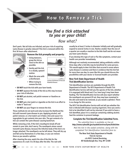## **Tick Life Cycle Tick Life Cycle How to Remove a Tick How to Remove a Tick**

## *You find a tick attached to you or your child!*

*Now what?*

Don't panic. Not all ticks are infected, and your risk of acquiring Lyme disease is greatly reduced if the tick is removed within the first 36 hours after attachment.



#### **Remove the tick promptly and properly:**

- Using tweezers, grasp the tick as close to the skin as possible.
- Gently pull the tick in a steady, upward motion.
- Wash the area with a disinfectant.
- When trying to remove the tick:





Courtesy CDC/Division of Viral and Rickettsial Diseases

- **DO NOT** touch the tick with your bare hands.
- **DO NOT** squeeze the body of the tick as this may increase your risk of infection.
- **DO NOT** put alcohol, nail polish remover or Vaseline on the tick.
- **DO NOT** put a hot match or cigarette on the tick in an effort to make it "back out."
- **DO NOT** use your fingers to remove the tick.

These methods do not work and only increase the likelihood the tick will transmit Lyme disease to you. Applying alcohol, nail polish remover, or a hot match can irritate a tick and cause it to regurgitate its gut contents into your skin. The gut contents of a tick can contain the Lyme disease-causing bacterium.

While removing a tick, if the tick's mouthparts break off and remain in your skin, don't worry. The mouthparts alone cannot transmit Lyme disease, because the infective body of the tick is no longer attached. The mouthparts can be left alone. They will dry up and fall out by themselves in a few days, or you can remove them as you would a splinter.

After cleaning the area, watch the site of the bite for the appearance of a rash 3 to 30 days after the bite. The rash will usually be at least 2 inches in diameter initially and will gradually expand to several inches in size. Rashes smaller than the size of a quarter are usually a reaction to the bite itself and do not mean you have Lyme disease.

If you develop this type of rash or flu-like symptoms, contact your health care provider immediately.

Although not routinely recommended, taking antibiotics within three days after a tick bite may be beneficial for some persons. This would apply to deer tick bites that occured in areas where Lyme disease is common and there is evidence that the tick fed for more than one day. In cases like this you should discuss the possibilities with your doctor or licensed health care provider.

#### **New York State Department of Health Tick Identification Service**

Tick identification services are available through the NYS Department of Health. The NYS Department of Health Tick Identification Service will tell you the species of the tick, whether it is engorged with blood and, if so, how long it may have been feeding. The Tick Identification Service will also report whether the mouthparts are present (if not, they may have remained in the skin and need to be removed, as you would a splinter). There is no charge for this service.

The NYS Tick Identification Service will not tell you whether the tick is infected with disease-causing organisms. Once you send a tick to be identified it will not be returned. If you wish to have a tick identified, place it in a small jar containing rubbing alcohol. Seal the container to prevent leakage.

#### **Complete the Tick Identification Submittal Form.**

*The submittal form is available on line at:*  **http://www.nyhealth.gov/nysdoh/environ/lyme/tickid.htm** 

*Mail the tick in the sealed container, along with the completed Tick Identification Submittal form to:*

> **The New York State Department of Health Tick I.D. Service c/o HVCC Central Receiving 80 Vandenburgh Ave, Troy, NY 12180**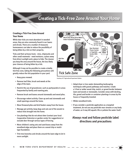## **Creating a Tick-Free Zone Around Your Home Creating a Tick-Free Zone Around Your Home**

#### **Creating a Tick-Free Zone Around Your Home**

While deer ticks are most abundant in wooded areas, they are also commonly found in our lawns and shrubs. There are a number of measures homeowners can take to reduce the possibility of being bitten by a tick on their property.

Ticks and their primary hosts - mice, chipmunks and other small mammals - need moisture, a place away from direct sunlight and a place to hide. The cleaner you keep the area around the house, the less likely your chances of being bitten by a tick.

Although it may not be possible to create a totally tick-free zone, taking the following precautions will greatly reduce the tick population in your yard.

- Keep grass mowed.
- Remove leaf litter, brush and weeds at the edge of the lawn.
- Restrict the use of groundcover, such as pachysandra in areas frequented by family and roaming pets.
- Remove brush and leaves around stonewalls and wood piles.
- Discourage rodent activity. Clean up and seal stonewalls and small openings around the home.
- Move firewood piles and bird feeders away from the house.
- Manage pet activity; keep dogs and cats out of the woods to reduce ticks brought into the home.
- Use plantings that do not attract deer (contact your local Cooperative Extension or garden center for suggestions) or exclude deer through various types of fencing.
- Move children's swing sets and sand boxes away from the woodland edge and place them on a wood chip or mulch type foundation.
- Trim tree branches and shrubs around the lawn edge to let in more sunlight.



Courtesy of CT Agricultural Experiment Station

- Adopt dryer or less water-demanding landscaping techniques with gravel pathways and mulches. Create a 3-foot or wider wood chip, mulch, or gravel border between lawn and woods or stonewalls. Consider areas with decking, tile, gravel and border or container plantings in areas by the house or frequently traveled.
- Widen woodland trails.
- If you consider a pesticide application as a targeted treatment, do not use any pesticide near streams or any body of water, as it may kill aquatic life or pollute the water itself.

## **Always read and follow pesticide label directions and precautions**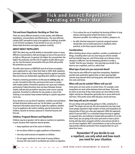#### **Tick and Insect Repellents: Deciding on Their Use Tick and Insect Repellents: Deciding on Their Use**

#### **Tick and Insect Repellents: Deciding on Their Use**

There are many different products on the market, with different ingredients, concentrations and effectiveness. The most effective contain DEET, permethrin (only to be applied on clothing), picaridin or oil of lemon eucalyptus. If you decide to use one, be sure to follow label directions and apply repellent carefully.

#### **ABOUT INSECT REPELLENTS**

DEET (the label may say N,N-diethyl-m-toluamide) comes in many different concentrations, with percentages as low as five percent or as high as 100 percent. In general, the higher the concentration the higher the protection, but the risk of negative health effects goes up, too. Use the lowest concentration that you think will provide the protection you need.

Picaridin (also known as KBR3023) and oil of lemon eucalyptus were registered for use in New York State in 2005. Both repellents have been shown to offer long-lasting protection against mosquito bites but there are limited data regarding their ability to repel ticks.

Products containing permethrin are **for use on clothing only**, not on skin. Permethrin kills ticks and insects that come in contact with treated clothes. Permethrin products can cause eye irritation, particularly if label directions have not been followed. Animal studies indicate that permethrin may have some cancer-causing potential. Permethrin is effective for two weeks or more if the clothing is not washed. Keep treated clothing in a plastic bag when not in use.

If you decide to use any kind of repellent, carefully read and follow all label directions before each use. On the labels, you will find important information about how to apply the repellent, whether it can be applied to skin and/or clothing, special instructions for children, hazards to humans, physical or chemical hazards and first aid.

#### **Children, Pregnant Women and Repellents**

Children may be at greater risk for adverse reactions to repellents, in part, because their exposure may be greater.

- Keep repellents out of the reach of children.
- Do not allow children to apply repellents to themselves.
- Use only small amounts of repellent on children.
- Do not apply repellents to the hands of young children because this may result in accidental eye contact or ingestion.
- Try to reduce the use of repellents by dressing children in long sleeves and long pants tucked into boots or socks whenever possible. Use netting over strollers, playpens, etc.
- As with chemical exposures in general, pregnant women should take care to avoid exposures to repellents when practical, as the fetus may be vulnerable.

#### **Considerations**

When thinking about using a repellent, consider a combination of things, including where you are, how long you will be outside and how bad the bugs are, and if those bugs carry disease. Every situation is different. Use the following questions to make a "profile" that fits your situation - this may help you decide if you want to use a repellent, and if so, which kind.

#### **What type of pest are you concerned about?**

Ticks may be more difficult to repel than mosquitoes. Repellents provide some protection against ticks, as does wearing lightcolored, long-sleeved shirts and long pants, with bottoms tucked into socks and boots.

#### **When will you be outside? Where will you be?**

Some pests are more active at certain times. For example, some mosquitoes are most active between dusk and dawn. Ticks may be active at any time of day. Some places are more likely to have higher activity too. Mosquitoes generally live in areas with brush and trees. Ticks prefer areas with tall grass, brush and trees.

#### **How long will you be outside?**

Are you doing some gardening, going on a hike, camping for a week? The longer you are out, the more protection you may need. Some people exposed to high numbers of ticks and mosquitoes for long periods of time use a two-part approach. With this approach, about 33 percent DEET in a controlled release formula is applied on exposed skin, and clothing is treated with permethrin. If, on the other hand, you are going to do some yard work or have a picnic during mid-day when mosquito activity is low and you decide to use an insect repellent, DEET concentrations as low as five percent may provide sufficient protection from mosquito bites for up to about four hours.

### **Remember! If you decide to use a repellent, use only what and how much you need for your situation.**